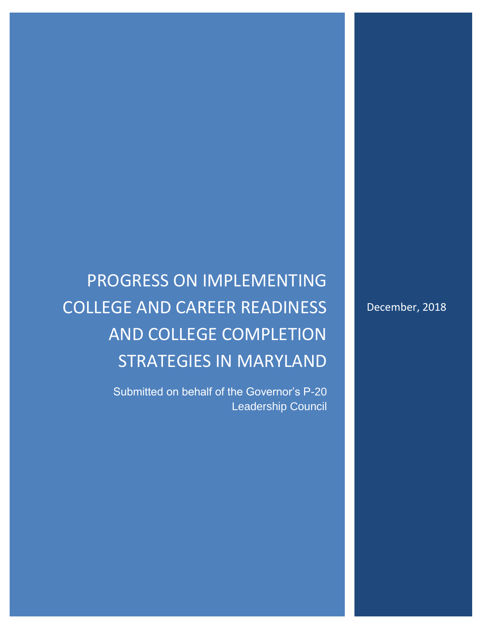# PROGRESS ON IMPLEMENTING COLLEGE AND CAREER READINESS AND COLLEGE COMPLETION STRATEGIES IN MARYLAND

Submitted on behalf of the Governor's P-20 Leadership Council December, 2018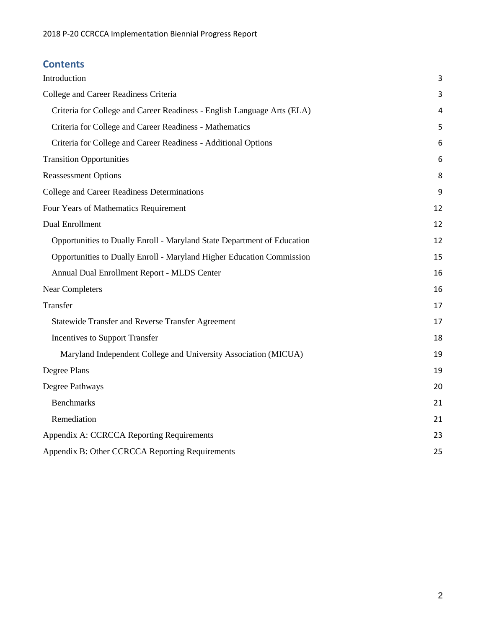### **Contents**

| Introduction                                                            | 3  |
|-------------------------------------------------------------------------|----|
| College and Career Readiness Criteria                                   | 3  |
| Criteria for College and Career Readiness - English Language Arts (ELA) | 4  |
| Criteria for College and Career Readiness - Mathematics                 | 5  |
| Criteria for College and Career Readiness - Additional Options          | 6  |
| <b>Transition Opportunities</b>                                         | 6  |
| <b>Reassessment Options</b>                                             | 8  |
| College and Career Readiness Determinations                             | 9  |
| Four Years of Mathematics Requirement                                   | 12 |
| <b>Dual Enrollment</b>                                                  | 12 |
| Opportunities to Dually Enroll - Maryland State Department of Education | 12 |
| Opportunities to Dually Enroll - Maryland Higher Education Commission   | 15 |
| Annual Dual Enrollment Report - MLDS Center                             | 16 |
| <b>Near Completers</b>                                                  | 16 |
| Transfer                                                                | 17 |
| Statewide Transfer and Reverse Transfer Agreement                       | 17 |
| <b>Incentives to Support Transfer</b>                                   | 18 |
| Maryland Independent College and University Association (MICUA)         | 19 |
| Degree Plans                                                            | 19 |
| Degree Pathways                                                         | 20 |
| <b>Benchmarks</b>                                                       | 21 |
| Remediation                                                             | 21 |
| Appendix A: CCRCCA Reporting Requirements                               | 23 |
| Appendix B: Other CCRCCA Reporting Requirements                         | 25 |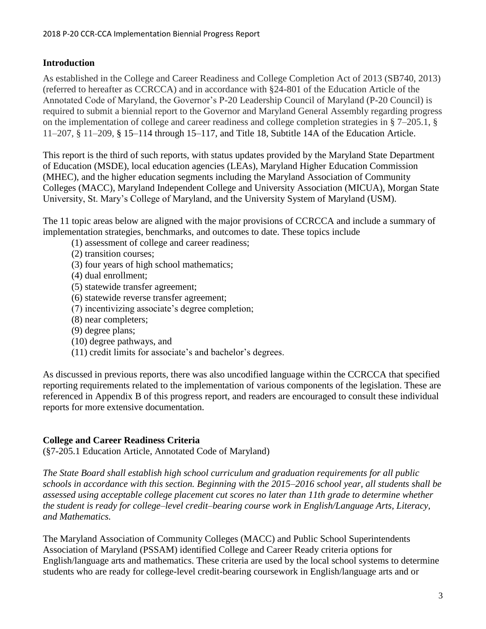#### <span id="page-3-0"></span>**Introduction**

As established in the College and Career Readiness and College Completion Act of 2013 (SB740, 2013) (referred to hereafter as CCRCCA) and in accordance with §24-801 of the Education Article of the Annotated Code of Maryland, the Governor's P-20 Leadership Council of Maryland (P-20 Council) is required to submit a biennial report to the Governor and Maryland General Assembly regarding progress on the implementation of college and career readiness and college completion strategies in § 7–205.1, § 11–207, § 11–209, § 15–114 through 15–117, and Title 18, Subtitle 14A of the Education Article.

This report is the third of such reports, with status updates provided by the Maryland State Department of Education (MSDE), local education agencies (LEAs), Maryland Higher Education Commission (MHEC), and the higher education segments including the Maryland Association of Community Colleges (MACC), Maryland Independent College and University Association (MICUA), Morgan State University, St. Mary's College of Maryland, and the University System of Maryland (USM).

The 11 topic areas below are aligned with the major provisions of CCRCCA and include a summary of implementation strategies, benchmarks, and outcomes to date. These topics include

- (1) assessment of college and career readiness;
- (2) transition courses;
- (3) four years of high school mathematics;
- (4) dual enrollment;
- (5) statewide transfer agreement;
- (6) statewide reverse transfer agreement;
- (7) incentivizing associate's degree completion;
- (8) near completers;
- (9) degree plans;
- (10) degree pathways, and
- (11) credit limits for associate's and bachelor's degrees.

As discussed in previous reports, there was also uncodified language within the CCRCCA that specified reporting requirements related to the implementation of various components of the legislation. These are referenced in Appendix B of this progress report, and readers are encouraged to consult these individual reports for more extensive documentation.

#### <span id="page-3-1"></span>**College and Career Readiness Criteria**

(§7-205.1 Education Article, Annotated Code of Maryland)

*The State Board shall establish high school curriculum and graduation requirements for all public schools in accordance with this section. Beginning with the 2015–2016 school year, all students shall be assessed using acceptable college placement cut scores no later than 11th grade to determine whether the student is ready for college–level credit–bearing course work in English/Language Arts, Literacy, and Mathematics.*

The Maryland Association of Community Colleges (MACC) and Public School Superintendents Association of Maryland (PSSAM) identified College and Career Ready criteria options for English/language arts and mathematics. These criteria are used by the local school systems to determine students who are ready for college-level credit-bearing coursework in English/language arts and or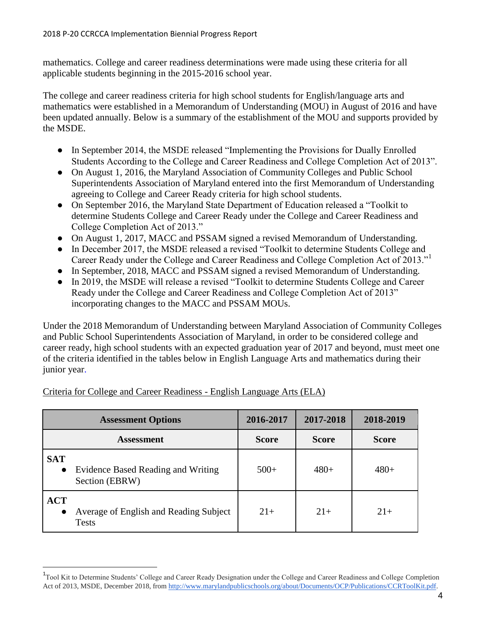mathematics. College and career readiness determinations were made using these criteria for all applicable students beginning in the 2015-2016 school year.

The college and career readiness criteria for high school students for English/language arts and mathematics were established in a Memorandum of Understanding (MOU) in August of 2016 and have been updated annually. Below is a summary of the establishment of the MOU and supports provided by the MSDE.

- In September 2014, the MSDE released "Implementing the Provisions for Dually Enrolled Students According to the College and Career Readiness and College Completion Act of 2013".
- On August 1, 2016, the Maryland Association of Community Colleges and Public School Superintendents Association of Maryland entered into the first Memorandum of Understanding agreeing to College and Career Ready criteria for high school students.
- On September 2016, the Maryland State Department of Education released a "Toolkit to" determine Students College and Career Ready under the College and Career Readiness and College Completion Act of 2013."
- On August 1, 2017, MACC and PSSAM signed a revised Memorandum of Understanding.
- In December 2017, the MSDE released a revised "Toolkit to determine Students College and Career Ready under the College and Career Readiness and College Completion Act of 2013."<sup>1</sup>
- In September, 2018, MACC and PSSAM signed a revised Memorandum of Understanding.
- In 2019, the MSDE will release a revised "Toolkit to determine Students College and Career Ready under the College and Career Readiness and College Completion Act of 2013" incorporating changes to the MACC and PSSAM MOUs.

Under the 2018 Memorandum of Understanding between Maryland Association of Community Colleges and Public School Superintendents Association of Maryland, in order to be considered college and career ready, high school students with an expected graduation year of 2017 and beyond, must meet one of the criteria identified in the tables below in English Language Arts and mathematics during their junior year.

| <b>Assessment Options</b> |                                                        | 2016-2017    | 2017-2018    | 2018-2019    |
|---------------------------|--------------------------------------------------------|--------------|--------------|--------------|
|                           | <b>Assessment</b>                                      | <b>Score</b> | <b>Score</b> | <b>Score</b> |
| <b>SAT</b><br>$\bullet$   | Evidence Based Reading and Writing<br>Section (EBRW)   | $500+$       | $480+$       | $480+$       |
| <b>ACT</b><br>$\bullet$   | Average of English and Reading Subject<br><b>Tests</b> | $21+$        | $21+$        | $21+$        |

#### <span id="page-4-0"></span>Criteria for College and Career Readiness - English Language Arts (ELA)

l

<sup>&</sup>lt;sup>1</sup> Tool Kit to Determine Students' College and Career Ready Designation under the College and Career Readiness and College Completion Act of 2013, MSDE, December 2018, from [http://www.marylandpublicschools.org/about/Documents/OCP/Publications/CCRToolKit.pdf.](http://www.marylandpublicschools.org/about/Documents/OCP/Publications/CCRToolKit.pdf)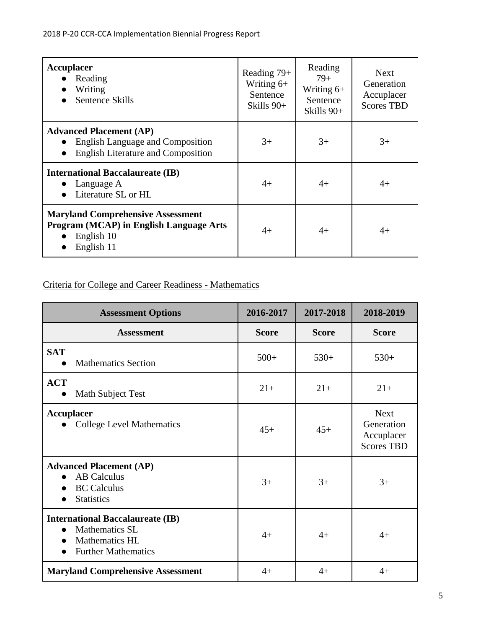| <b>Accuplacer</b><br>Reading<br>Writing<br>Sentence Skills                                                                          | Reading 79+<br>Writing $6+$<br>Sentence<br>Skills $90+$ | Reading<br>$79+$<br>Writing $6+$<br>Sentence<br>Skills 90+ | <b>Next</b><br>Generation<br>Accuplacer<br><b>Scores TBD</b> |
|-------------------------------------------------------------------------------------------------------------------------------------|---------------------------------------------------------|------------------------------------------------------------|--------------------------------------------------------------|
| <b>Advanced Placement (AP)</b><br><b>English Language and Composition</b><br><b>English Literature and Composition</b><br>$\bullet$ | $3+$                                                    | $3+$                                                       | $3+$                                                         |
| <b>International Baccalaureate (IB)</b><br>Language A<br>Literature SL or HL                                                        | $4+$                                                    | $4+$                                                       | $4+$                                                         |
| <b>Maryland Comprehensive Assessment</b><br><b>Program (MCAP) in English Language Arts</b><br>English 10<br>English 11              | $4+$                                                    | $4+$                                                       | $4+$                                                         |

### <span id="page-5-0"></span>Criteria for College and Career Readiness - Mathematics

| <b>Assessment Options</b>                                                                                        | 2016-2017    | 2017-2018    | 2018-2019                                                    |
|------------------------------------------------------------------------------------------------------------------|--------------|--------------|--------------------------------------------------------------|
| <b>Assessment</b>                                                                                                | <b>Score</b> | <b>Score</b> | <b>Score</b>                                                 |
| <b>SAT</b><br><b>Mathematics Section</b>                                                                         | $500+$       | $530+$       | $530+$                                                       |
| <b>ACT</b><br>Math Subject Test                                                                                  | $21+$        | $21+$        | $21+$                                                        |
| <b>Accuplacer</b><br><b>College Level Mathematics</b>                                                            | $45+$        | $45+$        | <b>Next</b><br>Generation<br>Accuplacer<br><b>Scores TBD</b> |
| <b>Advanced Placement (AP)</b><br><b>AB</b> Calculus<br><b>BC</b> Calculus<br><b>Statistics</b>                  | $3+$         | $3+$         | $3+$                                                         |
| <b>International Baccalaureate (IB)</b><br><b>Mathematics SL</b><br>Mathematics HL<br><b>Further Mathematics</b> | $4+$         | $4+$         | $4+$                                                         |
| <b>Maryland Comprehensive Assessment</b>                                                                         | $4+$         | $4+$         | $4+$                                                         |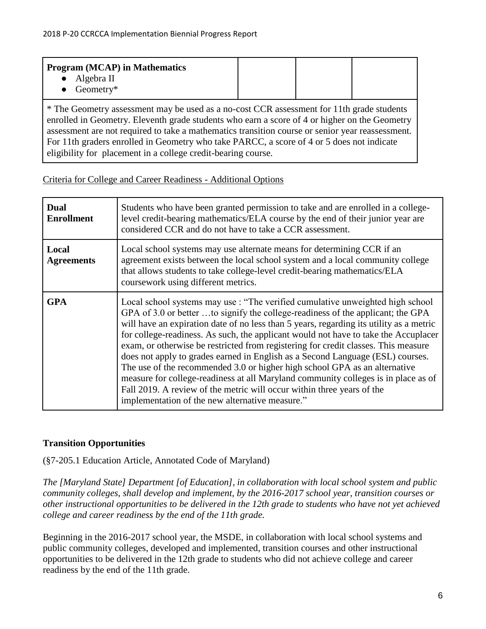| <b>Program (MCAP) in Mathematics</b>        |  |  |
|---------------------------------------------|--|--|
| $\bullet$ Algebra II<br>$\bullet$ Geometry* |  |  |

\* The Geometry assessment may be used as a no-cost CCR assessment for 11th grade students enrolled in Geometry. Eleventh grade students who earn a score of 4 or higher on the Geometry assessment are not required to take a mathematics transition course or senior year reassessment. For 11th graders enrolled in Geometry who take PARCC, a score of 4 or 5 does not indicate eligibility for placement in a college credit-bearing course.

#### <span id="page-6-0"></span>Criteria for College and Career Readiness - Additional Options

| <b>Dual</b><br><b>Enrollment</b> | Students who have been granted permission to take and are enrolled in a college-<br>level credit-bearing mathematics/ELA course by the end of their junior year are<br>considered CCR and do not have to take a CCR assessment.                                                                                                                                                                                                                                                                                                                                                                                                                                                                                                                                                                                              |
|----------------------------------|------------------------------------------------------------------------------------------------------------------------------------------------------------------------------------------------------------------------------------------------------------------------------------------------------------------------------------------------------------------------------------------------------------------------------------------------------------------------------------------------------------------------------------------------------------------------------------------------------------------------------------------------------------------------------------------------------------------------------------------------------------------------------------------------------------------------------|
| Local<br><b>Agreements</b>       | Local school systems may use alternate means for determining CCR if an<br>agreement exists between the local school system and a local community college<br>that allows students to take college-level credit-bearing mathematics/ELA<br>coursework using different metrics.                                                                                                                                                                                                                                                                                                                                                                                                                                                                                                                                                 |
| <b>GPA</b>                       | Local school systems may use : "The verified cumulative unweighted high school<br>GPA of 3.0 or better to signify the college-readiness of the applicant; the GPA<br>will have an expiration date of no less than 5 years, regarding its utility as a metric<br>for college-readiness. As such, the applicant would not have to take the Accuplacer<br>exam, or otherwise be restricted from registering for credit classes. This measure<br>does not apply to grades earned in English as a Second Language (ESL) courses.<br>The use of the recommended 3.0 or higher high school GPA as an alternative<br>measure for college-readiness at all Maryland community colleges is in place as of<br>Fall 2019. A review of the metric will occur within three years of the<br>implementation of the new alternative measure." |

#### <span id="page-6-1"></span>**Transition Opportunities**

(§7-205.1 Education Article, Annotated Code of Maryland)

*The [Maryland State] Department [of Education], in collaboration with local school system and public community colleges, shall develop and implement, by the 2016-2017 school year, transition courses or other instructional opportunities to be delivered in the 12th grade to students who have not yet achieved college and career readiness by the end of the 11th grade.*

Beginning in the 2016-2017 school year, the MSDE, in collaboration with local school systems and public community colleges, developed and implemented, transition courses and other instructional opportunities to be delivered in the 12th grade to students who did not achieve college and career readiness by the end of the 11th grade.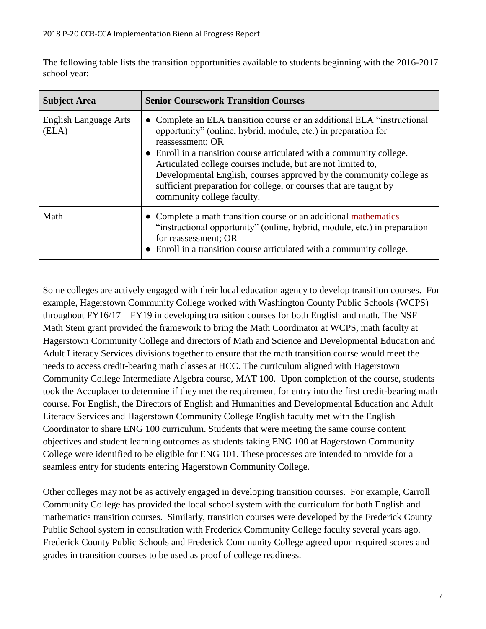The following table lists the transition opportunities available to students beginning with the 2016-2017 school year:

| <b>Subject Area</b>                   | <b>Senior Coursework Transition Courses</b>                                                                                                                                                                                                                                                                                                                                                                                                                                       |
|---------------------------------------|-----------------------------------------------------------------------------------------------------------------------------------------------------------------------------------------------------------------------------------------------------------------------------------------------------------------------------------------------------------------------------------------------------------------------------------------------------------------------------------|
| <b>English Language Arts</b><br>(ELA) | • Complete an ELA transition course or an additional ELA "instructional"<br>opportunity" (online, hybrid, module, etc.) in preparation for<br>reassessment; OR<br>• Enroll in a transition course articulated with a community college.<br>Articulated college courses include, but are not limited to,<br>Developmental English, courses approved by the community college as<br>sufficient preparation for college, or courses that are taught by<br>community college faculty. |
| Math                                  | • Complete a math transition course or an additional mathematics<br>"instructional opportunity" (online, hybrid, module, etc.) in preparation<br>for reassessment; OR<br>• Enroll in a transition course articulated with a community college.                                                                                                                                                                                                                                    |

Some colleges are actively engaged with their local education agency to develop transition courses. For example, Hagerstown Community College worked with Washington County Public Schools (WCPS) throughout  $FY16/17 - FY19$  in developing transition courses for both English and math. The NSF – Math Stem grant provided the framework to bring the Math Coordinator at WCPS, math faculty at Hagerstown Community College and directors of Math and Science and Developmental Education and Adult Literacy Services divisions together to ensure that the math transition course would meet the needs to access credit-bearing math classes at HCC. The curriculum aligned with Hagerstown Community College Intermediate Algebra course, MAT 100. Upon completion of the course, students took the Accuplacer to determine if they met the requirement for entry into the first credit-bearing math course. For English, the Directors of English and Humanities and Developmental Education and Adult Literacy Services and Hagerstown Community College English faculty met with the English Coordinator to share ENG 100 curriculum. Students that were meeting the same course content objectives and student learning outcomes as students taking ENG 100 at Hagerstown Community College were identified to be eligible for ENG 101. These processes are intended to provide for a seamless entry for students entering Hagerstown Community College.

Other colleges may not be as actively engaged in developing transition courses. For example, Carroll Community College has provided the local school system with the curriculum for both English and mathematics transition courses. Similarly, transition courses were developed by the Frederick County Public School system in consultation with Frederick Community College faculty several years ago. Frederick County Public Schools and Frederick Community College agreed upon required scores and grades in transition courses to be used as proof of college readiness.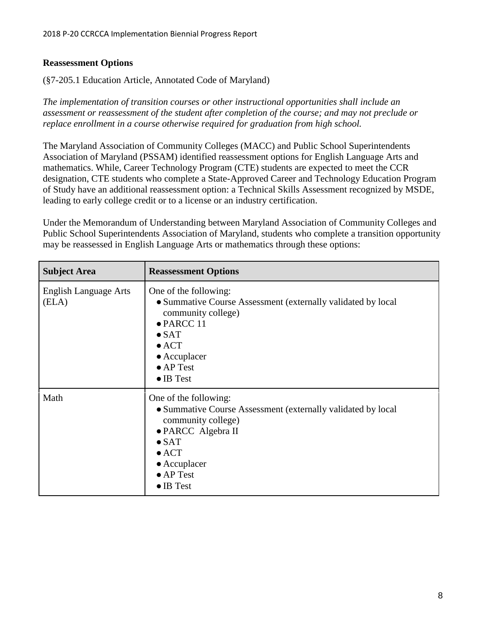#### <span id="page-8-0"></span>**Reassessment Options**

(§7-205.1 Education Article, Annotated Code of Maryland)

*The implementation of transition courses or other instructional opportunities shall include an assessment or reassessment of the student after completion of the course; and may not preclude or replace enrollment in a course otherwise required for graduation from high school.*

The Maryland Association of Community Colleges (MACC) and Public School Superintendents Association of Maryland (PSSAM) identified reassessment options for English Language Arts and mathematics. While, Career Technology Program (CTE) students are expected to meet the CCR designation, CTE students who complete a State-Approved Career and Technology Education Program of Study have an additional reassessment option: a Technical Skills Assessment recognized by MSDE, leading to early college credit or to a license or an industry certification.

Under the Memorandum of Understanding between Maryland Association of Community Colleges and Public School Superintendents Association of Maryland, students who complete a transition opportunity may be reassessed in English Language Arts or mathematics through these options:

| <b>Subject Area</b>                   | <b>Reassessment Options</b>                                                                                                                                                                                                           |
|---------------------------------------|---------------------------------------------------------------------------------------------------------------------------------------------------------------------------------------------------------------------------------------|
| <b>English Language Arts</b><br>(ELA) | One of the following:<br>• Summative Course Assessment (externally validated by local<br>community college)<br>$\bullet$ PARCC 11<br>$\bullet$ SAT<br>$\bullet$ ACT<br>$\bullet$ Accuplacer<br>$\bullet$ AP Test<br>$\bullet$ IB Test |
| Math                                  | One of the following:<br>• Summative Course Assessment (externally validated by local<br>community college)<br>• PARCC Algebra II<br>$\bullet$ SAT<br>$\bullet$ ACT<br>$\bullet$ Accuplacer<br>$\bullet$ AP Test<br>$\bullet$ IB Test |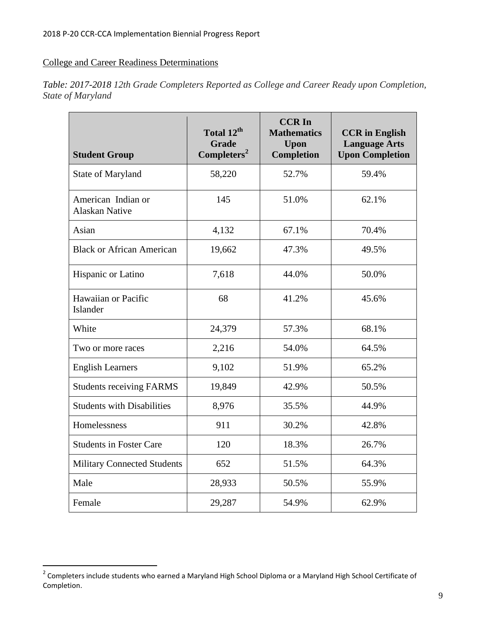#### <span id="page-9-0"></span>College and Career Readiness Determinations

| <b>Student Group</b>                        | Total 12 <sup>th</sup><br><b>Grade</b><br>Completers <sup>2</sup> | <b>CCRIn</b><br><b>Mathematics</b><br><b>Upon</b><br><b>Completion</b> | <b>CCR</b> in English<br><b>Language Arts</b><br><b>Upon Completion</b> |
|---------------------------------------------|-------------------------------------------------------------------|------------------------------------------------------------------------|-------------------------------------------------------------------------|
| <b>State of Maryland</b>                    | 58,220                                                            | 52.7%                                                                  | 59.4%                                                                   |
| American Indian or<br><b>Alaskan Native</b> | 145                                                               | 51.0%                                                                  | 62.1%                                                                   |
| Asian                                       | 4,132                                                             | 67.1%                                                                  | 70.4%                                                                   |
| <b>Black or African American</b>            | 19,662                                                            | 47.3%                                                                  | 49.5%                                                                   |
| Hispanic or Latino                          | 7,618                                                             | 44.0%                                                                  | 50.0%                                                                   |
| Hawaiian or Pacific<br>Islander             | 68                                                                | 41.2%                                                                  | 45.6%                                                                   |
| White                                       | 24,379                                                            | 57.3%                                                                  | 68.1%                                                                   |
| Two or more races                           | 2,216                                                             | 54.0%                                                                  | 64.5%                                                                   |
| <b>English Learners</b>                     | 9,102                                                             | 51.9%                                                                  | 65.2%                                                                   |
| <b>Students receiving FARMS</b>             | 19,849                                                            | 42.9%                                                                  | 50.5%                                                                   |
| <b>Students with Disabilities</b>           | 8,976                                                             | 35.5%                                                                  | 44.9%                                                                   |
| Homelessness                                | 911                                                               | 30.2%                                                                  | 42.8%                                                                   |
| <b>Students in Foster Care</b>              | 120                                                               | 18.3%                                                                  | 26.7%                                                                   |
| <b>Military Connected Students</b>          | 652                                                               | 51.5%                                                                  | 64.3%                                                                   |
| Male                                        | 28,933                                                            | 50.5%                                                                  | 55.9%                                                                   |
| Female                                      | 29,287                                                            | 54.9%                                                                  | 62.9%                                                                   |

*Table: 2017-2018 12th Grade Completers Reported as College and Career Ready upon Completion, State of Maryland*

 2 Completers include students who earned a Maryland High School Diploma or a Maryland High School Certificate of Completion.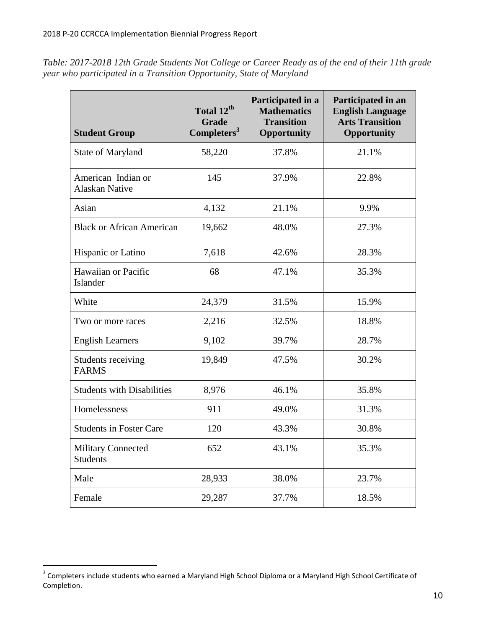*Table: 2017-2018 12th Grade Students Not College or Career Ready as of the end of their 11th grade year who participated in a Transition Opportunity, State of Maryland*

| <b>Student Group</b>                         | Total 12 <sup>th</sup><br><b>Grade</b><br>Completers <sup>3</sup> | Participated in a<br><b>Mathematics</b><br><b>Transition</b><br>Opportunity | Participated in an<br><b>English Language</b><br><b>Arts Transition</b><br>Opportunity |
|----------------------------------------------|-------------------------------------------------------------------|-----------------------------------------------------------------------------|----------------------------------------------------------------------------------------|
| State of Maryland                            | 58,220                                                            | 37.8%                                                                       | 21.1%                                                                                  |
| American Indian or<br><b>Alaskan Native</b>  | 145                                                               | 37.9%                                                                       | 22.8%                                                                                  |
| Asian                                        | 4,132                                                             | 21.1%                                                                       | 9.9%                                                                                   |
| <b>Black or African American</b>             | 19,662                                                            | 48.0%                                                                       | 27.3%                                                                                  |
| Hispanic or Latino                           | 7,618                                                             | 42.6%                                                                       | 28.3%                                                                                  |
| Hawaiian or Pacific<br>Islander              | 68                                                                | 47.1%                                                                       | 35.3%                                                                                  |
| White                                        | 24,379                                                            | 31.5%                                                                       | 15.9%                                                                                  |
| Two or more races                            | 2,216                                                             | 32.5%                                                                       | 18.8%                                                                                  |
| <b>English Learners</b>                      | 9,102                                                             | 39.7%                                                                       | 28.7%                                                                                  |
| Students receiving<br><b>FARMS</b>           | 19,849                                                            | 47.5%                                                                       | 30.2%                                                                                  |
| <b>Students with Disabilities</b>            | 8,976                                                             | 46.1%                                                                       | 35.8%                                                                                  |
| Homelessness                                 | 911                                                               | 49.0%                                                                       | 31.3%                                                                                  |
| <b>Students in Foster Care</b>               | 120                                                               | 43.3%                                                                       | 30.8%                                                                                  |
| <b>Military Connected</b><br><b>Students</b> | 652                                                               | 43.1%                                                                       | 35.3%                                                                                  |
| Male                                         | 28,933                                                            | 38.0%                                                                       | 23.7%                                                                                  |
| Female                                       | 29,287                                                            | 37.7%                                                                       | 18.5%                                                                                  |

 3 Completers include students who earned a Maryland High School Diploma or a Maryland High School Certificate of Completion.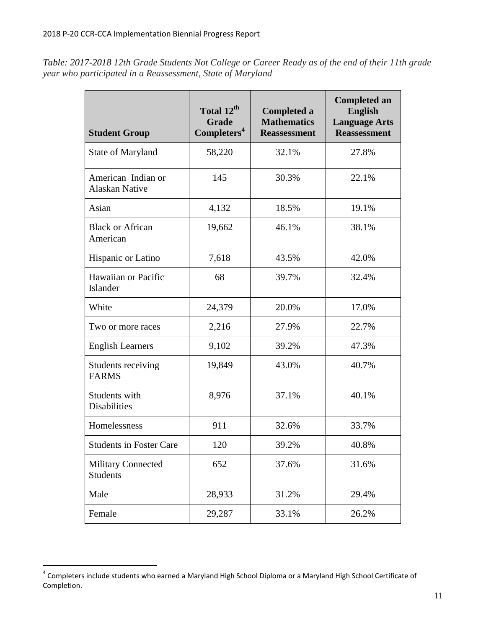*Table: 2017-2018 12th Grade Students Not College or Career Ready as of the end of their 11th grade year who participated in a Reassessment, State of Maryland*

| <b>Student Group</b>                         | Total 12 <sup>th</sup><br><b>Grade</b><br>Completers <sup>4</sup> | <b>Completed a</b><br><b>Mathematics</b><br><b>Reassessment</b> | <b>Completed an</b><br><b>English</b><br><b>Language Arts</b><br><b>Reassessment</b> |
|----------------------------------------------|-------------------------------------------------------------------|-----------------------------------------------------------------|--------------------------------------------------------------------------------------|
| State of Maryland                            | 58,220                                                            | 32.1%                                                           | 27.8%                                                                                |
| American Indian or<br><b>Alaskan Native</b>  | 145                                                               | 30.3%                                                           | 22.1%                                                                                |
| Asian                                        | 4,132                                                             | 18.5%                                                           | 19.1%                                                                                |
| <b>Black or African</b><br>American          | 19,662                                                            | 46.1%                                                           | 38.1%                                                                                |
| Hispanic or Latino                           | 7,618                                                             | 43.5%                                                           | 42.0%                                                                                |
| Hawaiian or Pacific<br>Islander              | 68                                                                | 39.7%                                                           | 32.4%                                                                                |
| White                                        | 24,379                                                            | 20.0%                                                           | 17.0%                                                                                |
| Two or more races                            | 2,216                                                             | 27.9%                                                           | 22.7%                                                                                |
| <b>English Learners</b>                      | 9,102                                                             | 39.2%                                                           | 47.3%                                                                                |
| Students receiving<br><b>FARMS</b>           | 19,849                                                            | 43.0%                                                           | 40.7%                                                                                |
| Students with<br><b>Disabilities</b>         | 8,976                                                             | 37.1%                                                           | 40.1%                                                                                |
| Homelessness                                 | 911                                                               | 32.6%                                                           | 33.7%                                                                                |
| <b>Students in Foster Care</b>               | 120                                                               | 39.2%                                                           | 40.8%                                                                                |
| <b>Military Connected</b><br><b>Students</b> | 652                                                               | 37.6%                                                           | 31.6%                                                                                |
| Male                                         | 28,933                                                            | 31.2%                                                           | 29.4%                                                                                |
| Female                                       | 29,287                                                            | 33.1%                                                           | 26.2%                                                                                |

 4 Completers include students who earned a Maryland High School Diploma or a Maryland High School Certificate of Completion.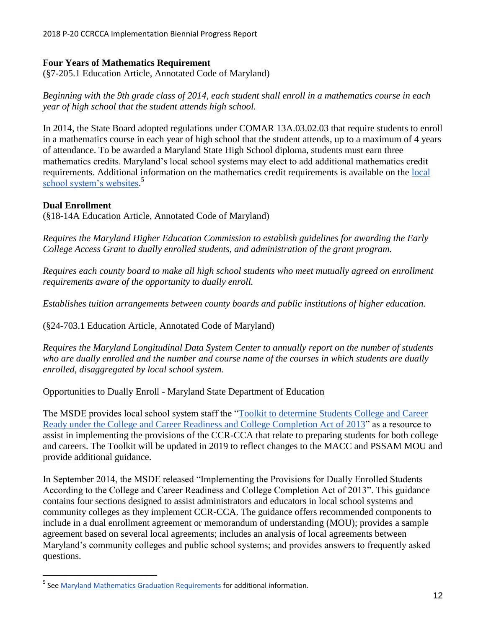#### <span id="page-12-0"></span>**Four Years of Mathematics Requirement**

(§7-205.1 Education Article, Annotated Code of Maryland)

*Beginning with the 9th grade class of 2014, each student shall enroll in a mathematics course in each year of high school that the student attends high school.*

In 2014, the State Board adopted regulations under COMAR 13A.03.02.03 that require students to enroll in a mathematics course in each year of high school that the student attends, up to a maximum of 4 years of attendance. To be awarded a Maryland State High School diploma, students must earn three mathematics credits. Maryland's local school systems may elect to add additional mathematics credit requirements. Additional information on the mathematics credit requirements is available on the [local](http://marylandpublicschools.org/about/Pages/School-Systems/index.aspx)  [school system's websites.](http://marylandpublicschools.org/about/Pages/School-Systems/index.aspx)<sup>5</sup>

#### <span id="page-12-1"></span>**Dual Enrollment**

 $\overline{\phantom{a}}$ 

(§18-14A Education Article, Annotated Code of Maryland)

*Requires the Maryland Higher Education Commission to establish guidelines for awarding the Early College Access Grant to dually enrolled students, and administration of the grant program.*

*Requires each county board to make all high school students who meet mutually agreed on enrollment requirements aware of the opportunity to dually enroll.*

*Establishes tuition arrangements between county boards and public institutions of higher education.* 

(§24-703.1 Education Article, Annotated Code of Maryland)

*Requires the Maryland Longitudinal Data System Center to annually report on the number of students who are dually enrolled and the number and course name of the courses in which students are dually enrolled, disaggregated by local school system.*

<span id="page-12-2"></span>Opportunities to Dually Enroll - Maryland State Department of Education

The MSDE provides local school system staff the ["Toolkit to determine Students College and Career](http://www.marylandpublicschools.org/about/Documents/DCAA/DCAA/CCRToolkit2017.pdf)  [Ready under the](http://www.marylandpublicschools.org/about/Documents/DCAA/DCAA/CCRToolkit2017.pdf) [College and Career Readiness and College Completion Act of 2013"](http://www.marylandpublicschools.org/about/Documents/DCAA/DCAA/CCRToolkit2017.pdf) as a resource to assist in implementing the provisions of the CCR-CCA that relate to preparing students for both college and careers. The Toolkit will be updated in 2019 to reflect changes to the MACC and PSSAM MOU and provide additional guidance.

In September 2014, the MSDE released "Implementing the Provisions for Dually Enrolled Students According to the College and Career Readiness and College Completion Act of 2013". This guidance contains four sections designed to assist administrators and educators in local school systems and community colleges as they implement CCR-CCA. The guidance offers recommended components to include in a dual enrollment agreement or memorandum of understanding (MOU); provides a sample agreement based on several local agreements; includes an analysis of local agreements between Maryland's community colleges and public school systems; and provides answers to frequently asked questions.

<sup>&</sup>lt;sup>5</sup> See <u>Maryland Mathematics Graduation Requirements</u> for additional information.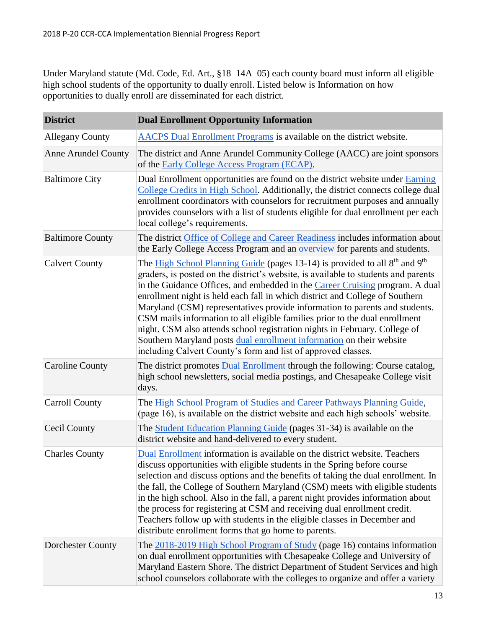Under Maryland statute (Md. Code, Ed. Art., §18–14A–05) each county board must inform all eligible high school students of the opportunity to dually enroll. Listed below is Information on how opportunities to dually enroll are disseminated for each district.

| <b>District</b>            | <b>Dual Enrollment Opportunity Information</b>                                                                                                                                                                                                                                                                                                                                                                                                                                                                                                                                                                                                                                                                                                 |
|----------------------------|------------------------------------------------------------------------------------------------------------------------------------------------------------------------------------------------------------------------------------------------------------------------------------------------------------------------------------------------------------------------------------------------------------------------------------------------------------------------------------------------------------------------------------------------------------------------------------------------------------------------------------------------------------------------------------------------------------------------------------------------|
| <b>Allegany County</b>     | AACPS Dual Enrollment Programs is available on the district website.                                                                                                                                                                                                                                                                                                                                                                                                                                                                                                                                                                                                                                                                           |
| <b>Anne Arundel County</b> | The district and Anne Arundel Community College (AACC) are joint sponsors<br>of the Early College Access Program (ECAP).                                                                                                                                                                                                                                                                                                                                                                                                                                                                                                                                                                                                                       |
| <b>Baltimore City</b>      | Dual Enrollment opportunities are found on the district website under Earning<br>College Credits in High School. Additionally, the district connects college dual<br>enrollment coordinators with counselors for recruitment purposes and annually<br>provides counselors with a list of students eligible for dual enrollment per each<br>local college's requirements.                                                                                                                                                                                                                                                                                                                                                                       |
| <b>Baltimore County</b>    | The district Office of College and Career Readiness includes information about<br>the Early College Access Program and an <b>overview</b> for parents and students.                                                                                                                                                                                                                                                                                                                                                                                                                                                                                                                                                                            |
| <b>Calvert County</b>      | The High School Planning Guide (pages 13-14) is provided to all 8 <sup>th</sup> and 9 <sup>th</sup><br>graders, is posted on the district's website, is available to students and parents<br>in the Guidance Offices, and embedded in the Career Cruising program. A dual<br>enrollment night is held each fall in which district and College of Southern<br>Maryland (CSM) representatives provide information to parents and students.<br>CSM mails information to all eligible families prior to the dual enrollment<br>night. CSM also attends school registration nights in February. College of<br>Southern Maryland posts dual enrollment information on their website<br>including Calvert County's form and list of approved classes. |
| <b>Caroline County</b>     | The district promotes <b>Dual Enrollment</b> through the following: Course catalog,<br>high school newsletters, social media postings, and Chesapeake College visit<br>days.                                                                                                                                                                                                                                                                                                                                                                                                                                                                                                                                                                   |
| <b>Carroll County</b>      | The High School Program of Studies and Career Pathways Planning Guide,<br>(page 16), is available on the district website and each high schools' website.                                                                                                                                                                                                                                                                                                                                                                                                                                                                                                                                                                                      |
| Cecil County               | The Student Education Planning Guide (pages 31-34) is available on the<br>district website and hand-delivered to every student.                                                                                                                                                                                                                                                                                                                                                                                                                                                                                                                                                                                                                |
| <b>Charles County</b>      | Dual Enrollment information is available on the district website. Teachers<br>discuss opportunities with eligible students in the Spring before course<br>selection and discuss options and the benefits of taking the dual enrollment. In<br>the fall, the College of Southern Maryland (CSM) meets with eligible students<br>in the high school. Also in the fall, a parent night provides information about<br>the process for registering at CSM and receiving dual enrollment credit.<br>Teachers follow up with students in the eligible classes in December and<br>distribute enrollment forms that go home to parents.                                                                                                                 |
| <b>Dorchester County</b>   | The 2018-2019 High School Program of Study (page 16) contains information<br>on dual enrollment opportunities with Chesapeake College and University of<br>Maryland Eastern Shore. The district Department of Student Services and high<br>school counselors collaborate with the colleges to organize and offer a variety                                                                                                                                                                                                                                                                                                                                                                                                                     |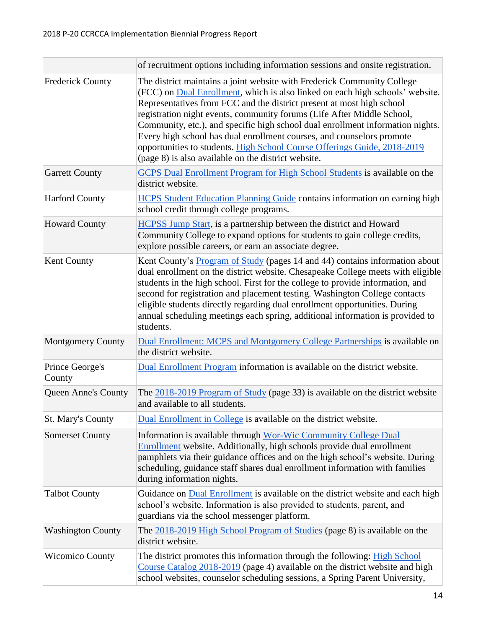|                            | of recruitment options including information sessions and onsite registration.                                                                                                                                                                                                                                                                                                                                                                                                                                                                                                                            |  |  |
|----------------------------|-----------------------------------------------------------------------------------------------------------------------------------------------------------------------------------------------------------------------------------------------------------------------------------------------------------------------------------------------------------------------------------------------------------------------------------------------------------------------------------------------------------------------------------------------------------------------------------------------------------|--|--|
| <b>Frederick County</b>    | The district maintains a joint website with Frederick Community College<br>(FCC) on Dual Enrollment, which is also linked on each high schools' website.<br>Representatives from FCC and the district present at most high school<br>registration night events, community forums (Life After Middle School,<br>Community, etc.), and specific high school dual enrollment information nights.<br>Every high school has dual enrollment courses, and counselors promote<br>opportunities to students. High School Course Offerings Guide, 2018-2019<br>(page 8) is also available on the district website. |  |  |
| <b>Garrett County</b>      | GCPS Dual Enrollment Program for High School Students is available on the<br>district website.                                                                                                                                                                                                                                                                                                                                                                                                                                                                                                            |  |  |
| <b>Harford County</b>      | <b>HCPS</b> Student Education Planning Guide contains information on earning high<br>school credit through college programs.                                                                                                                                                                                                                                                                                                                                                                                                                                                                              |  |  |
| <b>Howard County</b>       | <b>HCPSS Jump Start</b> , is a partnership between the district and Howard<br>Community College to expand options for students to gain college credits,<br>explore possible careers, or earn an associate degree.                                                                                                                                                                                                                                                                                                                                                                                         |  |  |
| <b>Kent County</b>         | Kent County's Program of Study (pages 14 and 44) contains information about<br>dual enrollment on the district website. Chesapeake College meets with eligible<br>students in the high school. First for the college to provide information, and<br>second for registration and placement testing. Washington College contacts<br>eligible students directly regarding dual enrollment opportunities. During<br>annual scheduling meetings each spring, additional information is provided to<br>students.                                                                                                |  |  |
| <b>Montgomery County</b>   | Dual Enrollment: MCPS and Montgomery College Partnerships is available on<br>the district website.                                                                                                                                                                                                                                                                                                                                                                                                                                                                                                        |  |  |
| Prince George's<br>County  | Dual Enrollment Program information is available on the district website.                                                                                                                                                                                                                                                                                                                                                                                                                                                                                                                                 |  |  |
| <b>Queen Anne's County</b> | The $\frac{2018-2019 \text{ Program of Study}}{2018}$ (page 33) is available on the district website<br>and available to all students.                                                                                                                                                                                                                                                                                                                                                                                                                                                                    |  |  |
| <b>St. Mary's County</b>   | Dual Enrollment in College is available on the district website.                                                                                                                                                                                                                                                                                                                                                                                                                                                                                                                                          |  |  |
| <b>Somerset County</b>     | Information is available through Wor-Wic Community College Dual<br><b>Enrollment</b> website. Additionally, high schools provide dual enrollment<br>pamphlets via their guidance offices and on the high school's website. During<br>scheduling, guidance staff shares dual enrollment information with families<br>during information nights.                                                                                                                                                                                                                                                            |  |  |
| <b>Talbot County</b>       | Guidance on Dual Enrollment is available on the district website and each high<br>school's website. Information is also provided to students, parent, and<br>guardians via the school messenger platform.                                                                                                                                                                                                                                                                                                                                                                                                 |  |  |
| <b>Washington County</b>   | The 2018-2019 High School Program of Studies (page 8) is available on the<br>district website.                                                                                                                                                                                                                                                                                                                                                                                                                                                                                                            |  |  |
| <b>Wicomico County</b>     | The district promotes this information through the following: High School<br>Course Catalog 2018-2019 (page 4) available on the district website and high<br>school websites, counselor scheduling sessions, a Spring Parent University,                                                                                                                                                                                                                                                                                                                                                                  |  |  |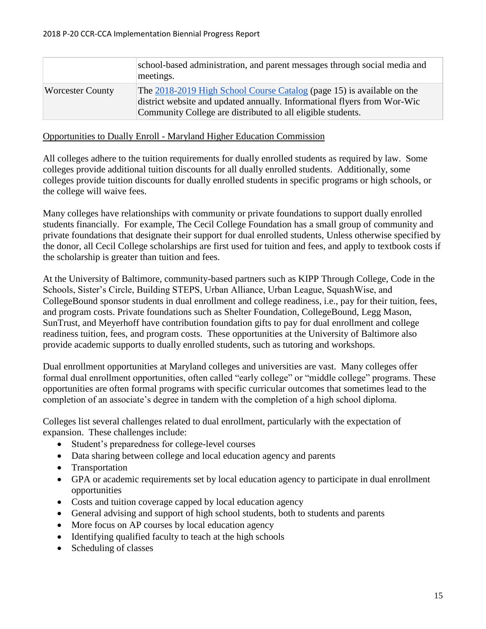|                         | school-based administration, and parent messages through social media and<br>meetings.                                                                                                                            |
|-------------------------|-------------------------------------------------------------------------------------------------------------------------------------------------------------------------------------------------------------------|
| <b>Worcester County</b> | The 2018-2019 High School Course Catalog (page 15) is available on the<br>district website and updated annually. Informational flyers from Wor-Wic<br>Community College are distributed to all eligible students. |

<span id="page-15-0"></span>Opportunities to Dually Enroll - Maryland Higher Education Commission

All colleges adhere to the tuition requirements for dually enrolled students as required by law. Some colleges provide additional tuition discounts for all dually enrolled students. Additionally, some colleges provide tuition discounts for dually enrolled students in specific programs or high schools, or the college will waive fees.

Many colleges have relationships with community or private foundations to support dually enrolled students financially. For example, The Cecil College Foundation has a small group of community and private foundations that designate their support for dual enrolled students, Unless otherwise specified by the donor, all Cecil College scholarships are first used for tuition and fees, and apply to textbook costs if the scholarship is greater than tuition and fees.

At the University of Baltimore, community-based partners such as KIPP Through College, Code in the Schools, Sister's Circle, Building STEPS, Urban Alliance, Urban League, SquashWise, and CollegeBound sponsor students in dual enrollment and college readiness, i.e., pay for their tuition, fees, and program costs. Private foundations such as Shelter Foundation, CollegeBound, Legg Mason, SunTrust, and Meyerhoff have contribution foundation gifts to pay for dual enrollment and college readiness tuition, fees, and program costs. These opportunities at the University of Baltimore also provide academic supports to dually enrolled students, such as tutoring and workshops.

Dual enrollment opportunities at Maryland colleges and universities are vast. Many colleges offer formal dual enrollment opportunities, often called "early college" or "middle college" programs. These opportunities are often formal programs with specific curricular outcomes that sometimes lead to the completion of an associate's degree in tandem with the completion of a high school diploma.

Colleges list several challenges related to dual enrollment, particularly with the expectation of expansion. These challenges include:

- Student's preparedness for college-level courses
- Data sharing between college and local education agency and parents
- Transportation
- GPA or academic requirements set by local education agency to participate in dual enrollment opportunities
- Costs and tuition coverage capped by local education agency
- General advising and support of high school students, both to students and parents
- More focus on AP courses by local education agency
- Identifying qualified faculty to teach at the high schools
- Scheduling of classes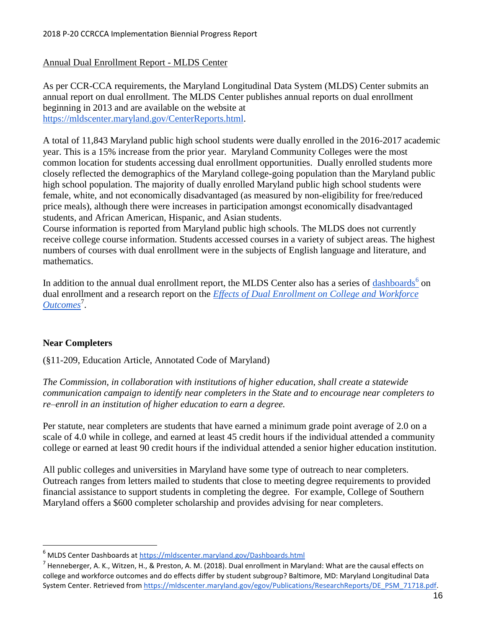#### <span id="page-16-0"></span>Annual Dual Enrollment Report - MLDS Center

As per CCR-CCA requirements, the Maryland Longitudinal Data System (MLDS) Center submits an annual report on dual enrollment. The MLDS Center publishes annual reports on dual enrollment beginning in 2013 and are available on the website at [https://mldscenter.maryland.gov/CenterReports.html.](https://mldscenter.maryland.gov/CenterReports.html)

A total of 11,843 Maryland public high school students were dually enrolled in the 2016-2017 academic year. This is a 15% increase from the prior year. Maryland Community Colleges were the most common location for students accessing dual enrollment opportunities. Dually enrolled students more closely reflected the demographics of the Maryland college-going population than the Maryland public high school population. The majority of dually enrolled Maryland public high school students were female, white, and not economically disadvantaged (as measured by non-eligibility for free/reduced price meals), although there were increases in participation amongst economically disadvantaged students, and African American, Hispanic, and Asian students.

Course information is reported from Maryland public high schools. The MLDS does not currently receive college course information. Students accessed courses in a variety of subject areas. The highest numbers of courses with dual enrollment were in the subjects of English language and literature, and mathematics.

In addition to the annual dual enrollment report, the MLDS Center also has a series of [dashboards](https://mldscenter.maryland.gov/Dashboards.html)<sup>6</sup> on dual enrollment and a research report on the *[Effects of Dual Enrollment on College and Workforce](https://mldscenter.maryland.gov/egov/Publications/ResearchReports/DE_PSM_71718.pdf)  [Outcomes](https://mldscenter.maryland.gov/egov/Publications/ResearchReports/DE_PSM_71718.pdf)*<sup>7</sup> .

#### <span id="page-16-1"></span>**Near Completers**

 $\overline{\phantom{a}}$ 

(§11-209, Education Article, Annotated Code of Maryland)

*The Commission, in collaboration with institutions of higher education, shall create a statewide communication campaign to identify near completers in the State and to encourage near completers to re–enroll in an institution of higher education to earn a degree.*

Per statute, near completers are students that have earned a minimum grade point average of 2.0 on a scale of 4.0 while in college, and earned at least 45 credit hours if the individual attended a community college or earned at least 90 credit hours if the individual attended a senior higher education institution.

All public colleges and universities in Maryland have some type of outreach to near completers. Outreach ranges from letters mailed to students that close to meeting degree requirements to provided financial assistance to support students in completing the degree. For example, College of Southern Maryland offers a \$600 completer scholarship and provides advising for near completers.

<sup>6</sup> MLDS Center Dashboards at<https://mldscenter.maryland.gov/Dashboards.html>

<sup>&</sup>lt;sup>7</sup> Henneberger, A. K., Witzen, H., & Preston, A. M. (2018). Dual enrollment in Maryland: What are the causal effects on college and workforce outcomes and do effects differ by student subgroup? Baltimore, MD: Maryland Longitudinal Data System Center. Retrieved from [https://mldscenter.maryland.gov/egov/Publications/ResearchReports/DE\\_PSM\\_71718.pdf.](https://mldscenter.maryland.gov/egov/Publications/ResearchReports/DE_PSM_71718.pdf)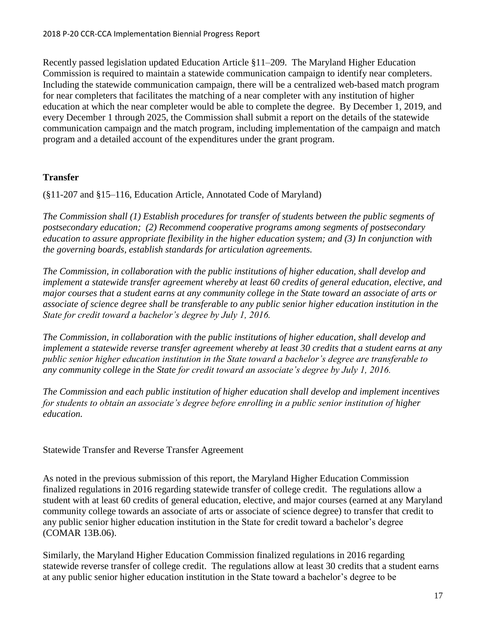Recently passed legislation updated Education Article §11–209. The Maryland Higher Education Commission is required to maintain a statewide communication campaign to identify near completers. Including the statewide communication campaign, there will be a centralized web-based match program for near completers that facilitates the matching of a near completer with any institution of higher education at which the near completer would be able to complete the degree. By December 1, 2019, and every December 1 through 2025, the Commission shall submit a report on the details of the statewide communication campaign and the match program, including implementation of the campaign and match program and a detailed account of the expenditures under the grant program.

#### <span id="page-17-0"></span>**Transfer**

(§11-207 and §15–116, Education Article, Annotated Code of Maryland)

*The Commission shall (1) Establish procedures for transfer of students between the public segments of postsecondary education; (2) Recommend cooperative programs among segments of postsecondary education to assure appropriate flexibility in the higher education system; and (3) In conjunction with the governing boards, establish standards for articulation agreements.*

*The Commission, in collaboration with the public institutions of higher education, shall develop and implement a statewide transfer agreement whereby at least 60 credits of general education, elective, and major courses that a student earns at any community college in the State toward an associate of arts or associate of science degree shall be transferable to any public senior higher education institution in the State for credit toward a bachelor's degree by July 1, 2016.*

*The Commission, in collaboration with the public institutions of higher education, shall develop and implement a statewide reverse transfer agreement whereby at least 30 credits that a student earns at any public senior higher education institution in the State toward a bachelor's degree are transferable to any community college in the State for credit toward an associate's degree by July 1, 2016.*

*The Commission and each public institution of higher education shall develop and implement incentives for students to obtain an associate's degree before enrolling in a public senior institution of higher education.*

<span id="page-17-1"></span>Statewide Transfer and Reverse Transfer Agreement

As noted in the previous submission of this report, the Maryland Higher Education Commission finalized regulations in 2016 regarding statewide transfer of college credit. The regulations allow a student with at least 60 credits of general education, elective, and major courses (earned at any Maryland community college towards an associate of arts or associate of science degree) to transfer that credit to any public senior higher education institution in the State for credit toward a bachelor's degree (COMAR 13B.06).

Similarly, the Maryland Higher Education Commission finalized regulations in 2016 regarding statewide reverse transfer of college credit. The regulations allow at least 30 credits that a student earns at any public senior higher education institution in the State toward a bachelor's degree to be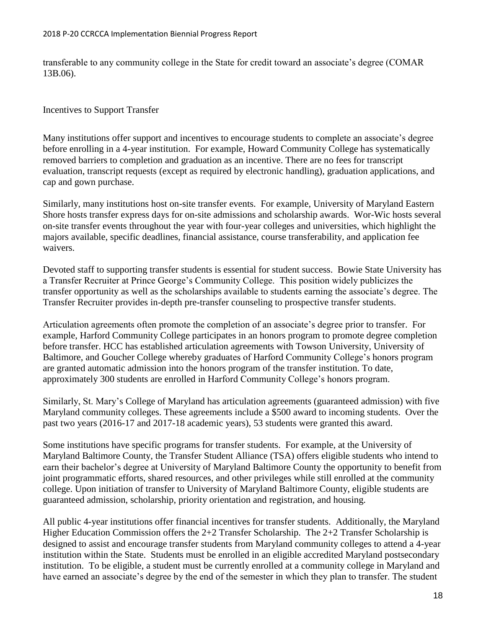transferable to any community college in the State for credit toward an associate's degree (COMAR 13B.06).

<span id="page-18-0"></span>Incentives to Support Transfer

Many institutions offer support and incentives to encourage students to complete an associate's degree before enrolling in a 4-year institution. For example, Howard Community College has systematically removed barriers to completion and graduation as an incentive. There are no fees for transcript evaluation, transcript requests (except as required by electronic handling), graduation applications, and cap and gown purchase.

Similarly, many institutions host on-site transfer events. For example, University of Maryland Eastern Shore hosts transfer express days for on-site admissions and scholarship awards. Wor-Wic hosts several on-site transfer events throughout the year with four-year colleges and universities, which highlight the majors available, specific deadlines, financial assistance, course transferability, and application fee waivers.

Devoted staff to supporting transfer students is essential for student success. Bowie State University has a Transfer Recruiter at Prince George's Community College. This position widely publicizes the transfer opportunity as well as the scholarships available to students earning the associate's degree. The Transfer Recruiter provides in-depth pre-transfer counseling to prospective transfer students.

Articulation agreements often promote the completion of an associate's degree prior to transfer. For example, Harford Community College participates in an honors program to promote degree completion before transfer. HCC has established articulation agreements with Towson University, University of Baltimore, and Goucher College whereby graduates of Harford Community College's honors program are granted automatic admission into the honors program of the transfer institution. To date, approximately 300 students are enrolled in Harford Community College's honors program.

Similarly, St. Mary's College of Maryland has articulation agreements (guaranteed admission) with five Maryland community colleges. These agreements include a \$500 award to incoming students. Over the past two years (2016-17 and 2017-18 academic years), 53 students were granted this award.

Some institutions have specific programs for transfer students. For example, at the University of Maryland Baltimore County, the Transfer Student Alliance (TSA) offers eligible students who intend to earn their bachelor's degree at University of Maryland Baltimore County the opportunity to benefit from joint programmatic efforts, shared resources, and other privileges while still enrolled at the community college. Upon initiation of transfer to University of Maryland Baltimore County, eligible students are guaranteed admission, scholarship, priority orientation and registration, and housing.

All public 4-year institutions offer financial incentives for transfer students. Additionally, the Maryland Higher Education Commission offers the 2+2 Transfer Scholarship. The 2+2 Transfer Scholarship is designed to assist and encourage transfer students from Maryland community colleges to attend a 4-year institution within the State. Students must be enrolled in an eligible accredited Maryland postsecondary institution. To be eligible, a student must be currently enrolled at a community college in Maryland and have earned an associate's degree by the end of the semester in which they plan to transfer. The student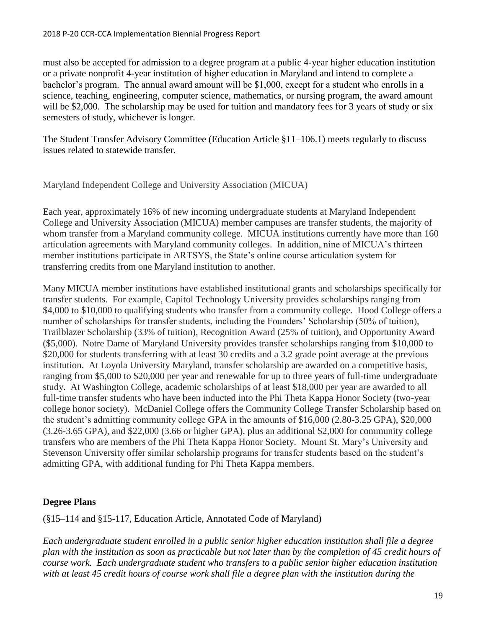must also be accepted for admission to a degree program at a public 4-year higher education institution or a private nonprofit 4-year institution of higher education in Maryland and intend to complete a bachelor's program. The annual award amount will be \$1,000, except for a student who enrolls in a science, teaching, engineering, computer science, mathematics, or nursing program, the award amount will be \$2,000. The scholarship may be used for tuition and mandatory fees for 3 years of study or six semesters of study, whichever is longer.

The Student Transfer Advisory Committee (Education Article §11–106.1) meets regularly to discuss issues related to statewide transfer.

<span id="page-19-0"></span>Maryland Independent College and University Association (MICUA)

Each year, approximately 16% of new incoming undergraduate students at Maryland Independent College and University Association (MICUA) member campuses are transfer students, the majority of whom transfer from a Maryland community college. MICUA institutions currently have more than 160 articulation agreements with Maryland community colleges. In addition, nine of MICUA's thirteen member institutions participate in ARTSYS, the State's online course articulation system for transferring credits from one Maryland institution to another.

Many MICUA member institutions have established institutional grants and scholarships specifically for transfer students. For example, Capitol Technology University provides scholarships ranging from \$4,000 to \$10,000 to qualifying students who transfer from a community college. Hood College offers a number of scholarships for transfer students, including the Founders' Scholarship (50% of tuition), Trailblazer Scholarship (33% of tuition), Recognition Award (25% of tuition), and Opportunity Award (\$5,000). Notre Dame of Maryland University provides transfer scholarships ranging from \$10,000 to \$20,000 for students transferring with at least 30 credits and a 3.2 grade point average at the previous institution. At Loyola University Maryland, transfer scholarship are awarded on a competitive basis, ranging from \$5,000 to \$20,000 per year and renewable for up to three years of full-time undergraduate study. At Washington College, academic scholarships of at least \$18,000 per year are awarded to all full-time transfer students who have been inducted into the Phi Theta Kappa Honor Society (two-year college honor society). McDaniel College offers the Community College Transfer Scholarship based on the student's admitting community college GPA in the amounts of \$16,000 (2.80-3.25 GPA), \$20,000 (3.26-3.65 GPA), and \$22,000 (3.66 or higher GPA), plus an additional \$2,000 for community college transfers who are members of the Phi Theta Kappa Honor Society. Mount St. Mary's University and Stevenson University offer similar scholarship programs for transfer students based on the student's admitting GPA, with additional funding for Phi Theta Kappa members.

#### <span id="page-19-1"></span>**Degree Plans**

(§15–114 and §15-117, Education Article, Annotated Code of Maryland)

*Each undergraduate student enrolled in a public senior higher education institution shall file a degree plan with the institution as soon as practicable but not later than by the completion of 45 credit hours of course work. Each undergraduate student who transfers to a public senior higher education institution with at least 45 credit hours of course work shall file a degree plan with the institution during the*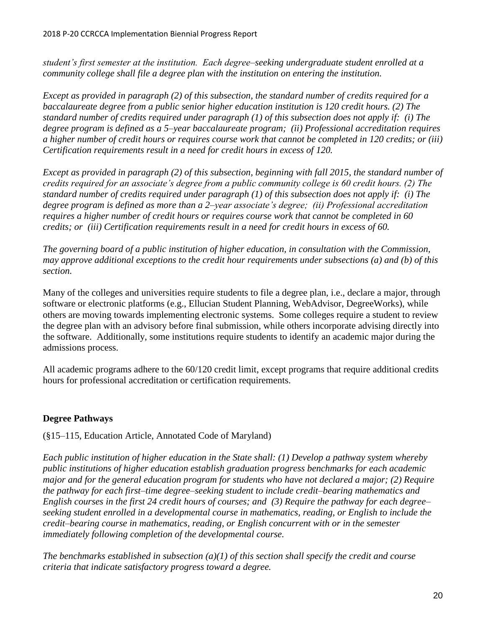*student's first semester at the institution. Each degree–seeking undergraduate student enrolled at a community college shall file a degree plan with the institution on entering the institution.*

*Except as provided in paragraph (2) of this subsection, the standard number of credits required for a baccalaureate degree from a public senior higher education institution is 120 credit hours. (2) The standard number of credits required under paragraph (1) of this subsection does not apply if: (i) The degree program is defined as a 5–year baccalaureate program; (ii) Professional accreditation requires a higher number of credit hours or requires course work that cannot be completed in 120 credits; or (iii) Certification requirements result in a need for credit hours in excess of 120.*

*Except as provided in paragraph (2) of this subsection, beginning with fall 2015, the standard number of credits required for an associate's degree from a public community college is 60 credit hours. (2) The standard number of credits required under paragraph (1) of this subsection does not apply if: (i) The degree program is defined as more than a 2–year associate's degree; (ii) Professional accreditation requires a higher number of credit hours or requires course work that cannot be completed in 60 credits; or (iii) Certification requirements result in a need for credit hours in excess of 60.*

*The governing board of a public institution of higher education, in consultation with the Commission, may approve additional exceptions to the credit hour requirements under subsections (a) and (b) of this section.*

Many of the colleges and universities require students to file a degree plan, i.e., declare a major, through software or electronic platforms (e.g., Ellucian Student Planning, WebAdvisor, DegreeWorks), while others are moving towards implementing electronic systems. Some colleges require a student to review the degree plan with an advisory before final submission, while others incorporate advising directly into the software. Additionally, some institutions require students to identify an academic major during the admissions process.

All academic programs adhere to the 60/120 credit limit, except programs that require additional credits hours for professional accreditation or certification requirements.

#### <span id="page-20-0"></span>**Degree Pathways**

(§15–115, Education Article, Annotated Code of Maryland)

*Each public institution of higher education in the State shall: (1) Develop a pathway system whereby public institutions of higher education establish graduation progress benchmarks for each academic major and for the general education program for students who have not declared a major; (2) Require the pathway for each first–time degree–seeking student to include credit–bearing mathematics and English courses in the first 24 credit hours of courses; and (3) Require the pathway for each degree– seeking student enrolled in a developmental course in mathematics, reading, or English to include the credit–bearing course in mathematics, reading, or English concurrent with or in the semester immediately following completion of the developmental course.*

*The benchmarks established in subsection (a)(1) of this section shall specify the credit and course criteria that indicate satisfactory progress toward a degree.*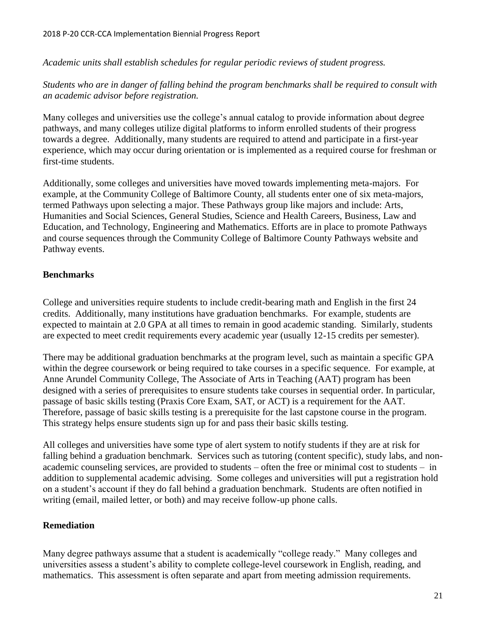*Academic units shall establish schedules for regular periodic reviews of student progress.*

*Students who are in danger of falling behind the program benchmarks shall be required to consult with an academic advisor before registration.*

Many colleges and universities use the college's annual catalog to provide information about degree pathways, and many colleges utilize digital platforms to inform enrolled students of their progress towards a degree. Additionally, many students are required to attend and participate in a first-year experience, which may occur during orientation or is implemented as a required course for freshman or first-time students.

Additionally, some colleges and universities have moved towards implementing meta-majors. For example, at the Community College of Baltimore County, all students enter one of six meta-majors, termed Pathways upon selecting a major. These Pathways group like majors and include: Arts, Humanities and Social Sciences, General Studies, Science and Health Careers, Business, Law and Education, and Technology, Engineering and Mathematics. Efforts are in place to promote Pathways and course sequences through the Community College of Baltimore County Pathways website and Pathway events.

#### <span id="page-21-0"></span>**Benchmarks**

College and universities require students to include credit-bearing math and English in the first 24 credits. Additionally, many institutions have graduation benchmarks. For example, students are expected to maintain at 2.0 GPA at all times to remain in good academic standing. Similarly, students are expected to meet credit requirements every academic year (usually 12-15 credits per semester).

There may be additional graduation benchmarks at the program level, such as maintain a specific GPA within the degree coursework or being required to take courses in a specific sequence. For example, at Anne Arundel Community College, The Associate of Arts in Teaching (AAT) program has been designed with a series of prerequisites to ensure students take courses in sequential order. In particular, passage of basic skills testing (Praxis Core Exam, SAT, or ACT) is a requirement for the AAT. Therefore, passage of basic skills testing is a prerequisite for the last capstone course in the program. This strategy helps ensure students sign up for and pass their basic skills testing.

All colleges and universities have some type of alert system to notify students if they are at risk for falling behind a graduation benchmark. Services such as tutoring (content specific), study labs, and nonacademic counseling services, are provided to students – often the free or minimal cost to students – in addition to supplemental academic advising. Some colleges and universities will put a registration hold on a student's account if they do fall behind a graduation benchmark. Students are often notified in writing (email, mailed letter, or both) and may receive follow-up phone calls.

#### <span id="page-21-1"></span>**Remediation**

Many degree pathways assume that a student is academically "college ready." Many colleges and universities assess a student's ability to complete college-level coursework in English, reading, and mathematics. This assessment is often separate and apart from meeting admission requirements.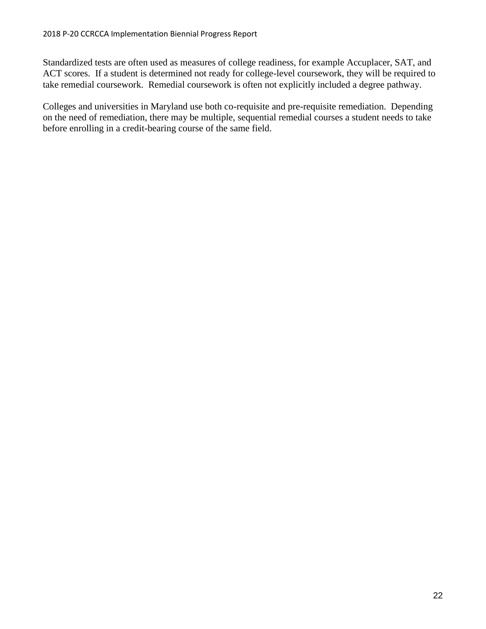Standardized tests are often used as measures of college readiness, for example Accuplacer, SAT, and ACT scores. If a student is determined not ready for college-level coursework, they will be required to take remedial coursework. Remedial coursework is often not explicitly included a degree pathway.

Colleges and universities in Maryland use both co-requisite and pre-requisite remediation. Depending on the need of remediation, there may be multiple, sequential remedial courses a student needs to take before enrolling in a credit-bearing course of the same field.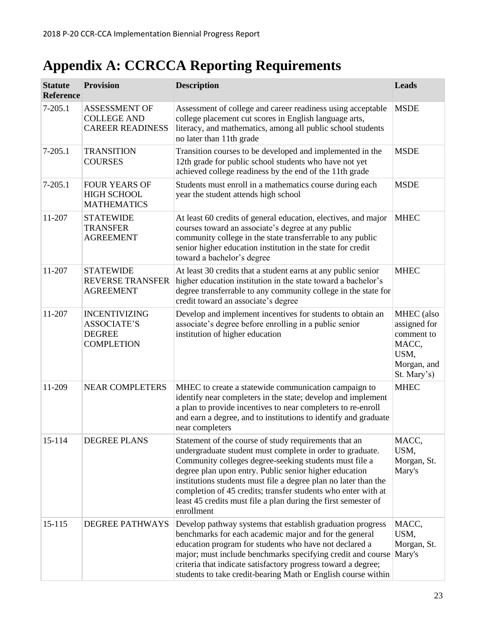# <span id="page-23-0"></span>**Appendix A: CCRCCA Reporting Requirements**

| <b>Statute</b><br><b>Reference</b> | <b>Provision</b>                                                                 | <b>Description</b>                                                                                                                                                                                                                                                                                                                                                                                                                                         | <b>Leads</b>                                                                                   |
|------------------------------------|----------------------------------------------------------------------------------|------------------------------------------------------------------------------------------------------------------------------------------------------------------------------------------------------------------------------------------------------------------------------------------------------------------------------------------------------------------------------------------------------------------------------------------------------------|------------------------------------------------------------------------------------------------|
| $7 - 205.1$                        | <b>ASSESSMENT OF</b><br><b>COLLEGE AND</b><br><b>CAREER READINESS</b>            | Assessment of college and career readiness using acceptable<br>college placement cut scores in English language arts,<br>literacy, and mathematics, among all public school students<br>no later than 11th grade                                                                                                                                                                                                                                           | <b>MSDE</b>                                                                                    |
| $7 - 205.1$                        | <b>TRANSITION</b><br><b>COURSES</b>                                              | Transition courses to be developed and implemented in the<br>12th grade for public school students who have not yet<br>achieved college readiness by the end of the 11th grade                                                                                                                                                                                                                                                                             | <b>MSDE</b>                                                                                    |
| $7 - 205.1$                        | <b>FOUR YEARS OF</b><br><b>HIGH SCHOOL</b><br><b>MATHEMATICS</b>                 | Students must enroll in a mathematics course during each<br>year the student attends high school                                                                                                                                                                                                                                                                                                                                                           | <b>MSDE</b>                                                                                    |
| 11-207                             | <b>STATEWIDE</b><br><b>TRANSFER</b><br><b>AGREEMENT</b>                          | At least 60 credits of general education, electives, and major<br>courses toward an associate's degree at any public<br>community college in the state transferrable to any public<br>senior higher education institution in the state for credit<br>toward a bachelor's degree                                                                                                                                                                            | <b>MHEC</b>                                                                                    |
| 11-207                             | <b>STATEWIDE</b><br><b>REVERSE TRANSFER</b><br><b>AGREEMENT</b>                  | At least 30 credits that a student earns at any public senior<br>higher education institution in the state toward a bachelor's<br>degree transferrable to any community college in the state for<br>credit toward an associate's degree                                                                                                                                                                                                                    | <b>MHEC</b>                                                                                    |
| 11-207                             | <b>INCENTIVIZING</b><br><b>ASSOCIATE'S</b><br><b>DEGREE</b><br><b>COMPLETION</b> | Develop and implement incentives for students to obtain an<br>associate's degree before enrolling in a public senior<br>institution of higher education                                                                                                                                                                                                                                                                                                    | <b>MHEC</b> (also<br>assigned for<br>comment to<br>MACC,<br>USM,<br>Morgan, and<br>St. Mary's) |
| 11-209                             | <b>NEAR COMPLETERS</b>                                                           | MHEC to create a statewide communication campaign to<br>identify near completers in the state; develop and implement<br>a plan to provide incentives to near completers to re-enroll<br>and earn a degree, and to institutions to identify and graduate<br>near completers                                                                                                                                                                                 | <b>MHEC</b>                                                                                    |
| 15-114                             | <b>DEGREE PLANS</b>                                                              | Statement of the course of study requirements that an<br>undergraduate student must complete in order to graduate.<br>Community colleges degree-seeking students must file a<br>degree plan upon entry. Public senior higher education<br>institutions students must file a degree plan no later than the<br>completion of 45 credits; transfer students who enter with at<br>least 45 credits must file a plan during the first semester of<br>enrollment | MACC,<br>USM,<br>Morgan, St.<br>Mary's                                                         |
| 15-115                             | <b>DEGREE PATHWAYS</b>                                                           | Develop pathway systems that establish graduation progress<br>benchmarks for each academic major and for the general<br>education program for students who have not declared a<br>major; must include benchmarks specifying credit and course<br>criteria that indicate satisfactory progress toward a degree;<br>students to take credit-bearing Math or English course within                                                                            | MACC,<br>USM,<br>Morgan, St.<br>Mary's                                                         |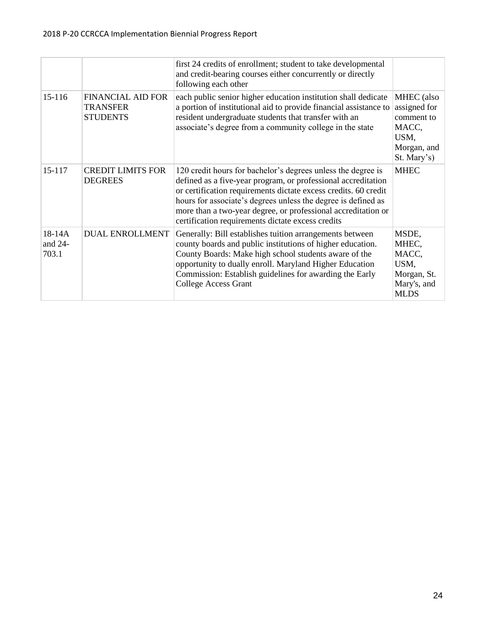|                            |                                                                | first 24 credits of enrollment; student to take developmental<br>and credit-bearing courses either concurrently or directly<br>following each other                                                                                                                                                                                                                                     |                                                                                                |
|----------------------------|----------------------------------------------------------------|-----------------------------------------------------------------------------------------------------------------------------------------------------------------------------------------------------------------------------------------------------------------------------------------------------------------------------------------------------------------------------------------|------------------------------------------------------------------------------------------------|
| 15-116                     | <b>FINANCIAL AID FOR</b><br><b>TRANSFER</b><br><b>STUDENTS</b> | each public senior higher education institution shall dedicate<br>a portion of institutional aid to provide financial assistance to<br>resident undergraduate students that transfer with an<br>associate's degree from a community college in the state                                                                                                                                | <b>MHEC</b> (also<br>assigned for<br>comment to<br>MACC,<br>USM,<br>Morgan, and<br>St. Mary's) |
| 15-117                     | <b>CREDIT LIMITS FOR</b><br><b>DEGREES</b>                     | 120 credit hours for bachelor's degrees unless the degree is<br>defined as a five-year program, or professional accreditation<br>or certification requirements dictate excess credits. 60 credit<br>hours for associate's degrees unless the degree is defined as<br>more than a two-year degree, or professional accreditation or<br>certification requirements dictate excess credits | <b>MHEC</b>                                                                                    |
| 18-14A<br>and 24-<br>703.1 | <b>DUAL ENROLLMENT</b>                                         | Generally: Bill establishes tuition arrangements between<br>county boards and public institutions of higher education.<br>County Boards: Make high school students aware of the<br>opportunity to dually enroll. Maryland Higher Education<br>Commission: Establish guidelines for awarding the Early<br><b>College Access Grant</b>                                                    | MSDE,<br>MHEC,<br>MACC,<br>USM,<br>Morgan, St.<br>Mary's, and<br><b>MLDS</b>                   |